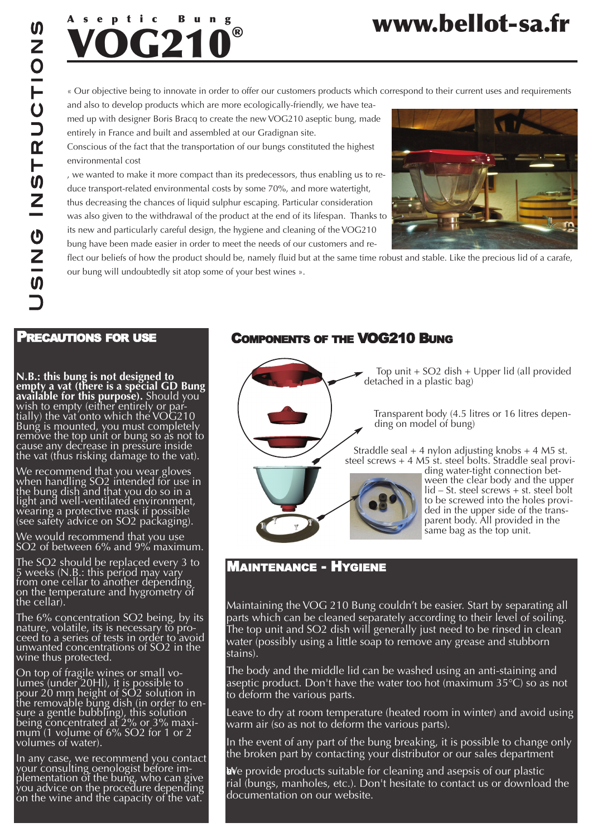

#### « Our objective being to innovate in order to offer our customers products which correspond to their current uses and requirements

and also to develop products which are more ecologically-friendly, we have teamed up with designer Boris Bracq to create the new VOG210 aseptic bung, made entirely in France and built and assembled at our Gradignan site.

Conscious of the fact that the transportation of our bungs constituted the highest environmental cost

, we wanted to make it more compact than its predecessors, thus enabling us to reduce transport-related environmental costs by some 70%, and more watertight, thus decreasing the chances of liquid sulphur escaping. Particular consideration was also given to the withdrawal of the product at the end of its lifespan. Thanks to its new and particularly careful design, the hygiene and cleaning of the VOG210 bung have been made easier in order to meet the needs of our customers and re-



**www.bellot-sa.fr**

flect our beliefs of how the product should be, namely fluid but at the same time robust and stable. Like the precious lid of a carafe, our bung will undoubtedly sit atop some of your best wines ».

### Precautions for use

**N.B.: this bung is not designed to empty a vat (there is a special GD Bung available for this purpose).** Should you wish to empty (either entirely or par-<br>tially) the vat onto which the VOG210 Bung is mounted, you must completely remove the top unit or bung so as not to cause any decrease in pressure inside the vat (thus risking damage to the vat).

We recommend that you wear gloves when handling SO2 intended for use in the bung dish and that you do so in a light and well-ventilated environment,<br>wearing a protective mask if possible (see safety advice on SO2 packaging).

We would recommend that you use SO2 of between 6% and 9% maximum.

The SO2 should be replaced every 3 to <sup>5</sup> weeks (N.B.: this period may vary from one cellar to another depending on the temperature and hygrometry of the cellar).

The 6% concentration SO2 being, by its nature, volatile, its is necessary to pro-<br>ceed to a series of tests in order to avoid unwanted concentrations of SO2 in the wine thus protected.

On top of fragile wines or small vo-<br>lumes (under 20Hl), it is possible to pour 20 mm height of SO2 solution in the removable bung dish (in order to en-<br>sure a gentle bubbling), this solution being concentrated at 2% or 3% maxi-<br>mum (1 volume of 6% SO2 for 1 or 2 volumes of water).

In any case, we recommend you contact<br>your consulting oenologist before imyour consulting oenologist before im-<br>plementation of the bung, who can give you advice on the procedure depending on the wine and the capacity of the vat.

### coMPonents of tHe Vog210 Bung

Top unit + SO2 dish + Upper lid (all provided detached in a plastic bag)

Transparent body (4.5 litres or 16 litres depending on model of bung)

Straddle seal  $+$  4 nylon adjusting knobs  $+$  4 M5 st. steel screws + 4 M5 st. steel bolts. Straddle seal provi-



ding water-tight connection between the clear body and the upper lid – St. steel screws + st. steel bolt to be screwed into the holes provided in the upper side of the transparent body. All provided in the same bag as the top unit.

## Maintenance - Hygiene

Maintaining the VOG 210 Bung couldn't be easier. Start by separating all parts which can be cleaned separately according to their level of soiling. The top unit and SO2 dish will generally just need to be rinsed in clean water (possibly using a little soap to remove any grease and stubborn stains).

The body and the middle lid can be washed using an anti-staining and aseptic product. Don't have the water too hot (maximum  $35^{\circ}$ C) so as not to deform the various parts.

Leave to dry at room temperature (heated room in winter) and avoid using warm air (so as not to deform the various parts).

In the event of any part of the bung breaking, it is possible to change only the broken part by contacting your distributor or our sales department

 $\mathbf{w}$ e provide products suitable for cleaning and asepsis of our plastic rial (bungs, manholes, etc.). Don't hesitate to contact us or download the documentation on our website.